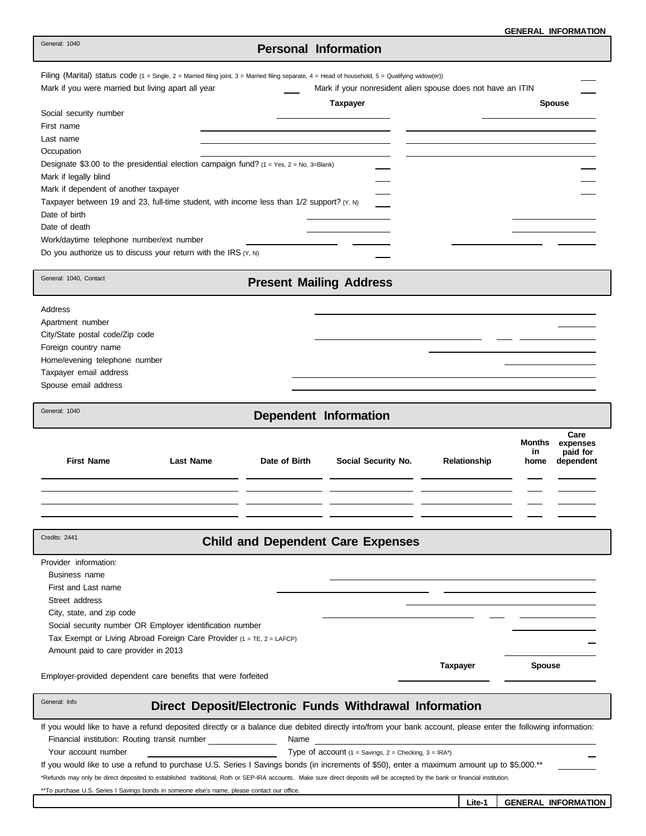# **Personal Information**

| Mark if you were married but living apart all year<br>Mark if your nonresident alien spouse does not have an ITIN                                                            | Filing (Marital) status code $(1 = \text{Single}, 2 = \text{Married filing joint}, 3 = \text{Married filing separate}, 4 = \text{Head of household}, 5 = \text{Qualifying window}(er))$ |                                   |
|------------------------------------------------------------------------------------------------------------------------------------------------------------------------------|-----------------------------------------------------------------------------------------------------------------------------------------------------------------------------------------|-----------------------------------|
| <b>Taxpayer</b>                                                                                                                                                              |                                                                                                                                                                                         | <b>Spouse</b>                     |
| Social security number                                                                                                                                                       |                                                                                                                                                                                         |                                   |
| First name                                                                                                                                                                   |                                                                                                                                                                                         |                                   |
| Last name                                                                                                                                                                    |                                                                                                                                                                                         |                                   |
| Occupation                                                                                                                                                                   |                                                                                                                                                                                         |                                   |
| Designate \$3.00 to the presidential election campaign fund? $(1 = Yes, 2 = No, 3 = Blank)$                                                                                  |                                                                                                                                                                                         |                                   |
| Mark if legally blind                                                                                                                                                        |                                                                                                                                                                                         |                                   |
| Mark if dependent of another taxpayer                                                                                                                                        |                                                                                                                                                                                         |                                   |
| Taxpayer between 19 and 23, full-time student, with income less than 1/2 support? (Y, N)                                                                                     |                                                                                                                                                                                         |                                   |
| Date of birth                                                                                                                                                                |                                                                                                                                                                                         |                                   |
| Date of death                                                                                                                                                                |                                                                                                                                                                                         |                                   |
| Work/daytime telephone number/ext number                                                                                                                                     |                                                                                                                                                                                         |                                   |
| Do you authorize us to discuss your return with the IRS $(Y, N)$                                                                                                             |                                                                                                                                                                                         |                                   |
|                                                                                                                                                                              |                                                                                                                                                                                         |                                   |
| General: 1040, Contact<br><b>Present Mailing Address</b>                                                                                                                     |                                                                                                                                                                                         |                                   |
| Address                                                                                                                                                                      |                                                                                                                                                                                         |                                   |
| Apartment number                                                                                                                                                             |                                                                                                                                                                                         |                                   |
| City/State postal code/Zip code                                                                                                                                              |                                                                                                                                                                                         |                                   |
| Foreign country name                                                                                                                                                         |                                                                                                                                                                                         |                                   |
| Home/evening telephone number                                                                                                                                                |                                                                                                                                                                                         |                                   |
| Taxpayer email address                                                                                                                                                       |                                                                                                                                                                                         |                                   |
| Spouse email address                                                                                                                                                         |                                                                                                                                                                                         |                                   |
|                                                                                                                                                                              |                                                                                                                                                                                         |                                   |
| General: 1040<br>Dependent Information                                                                                                                                       |                                                                                                                                                                                         |                                   |
|                                                                                                                                                                              |                                                                                                                                                                                         | Care<br><b>Months</b><br>expenses |
| <b>First Name</b><br><b>Last Name</b><br>Date of Birth<br>Social Security No.                                                                                                | Relationship                                                                                                                                                                            | paid for<br>in                    |
|                                                                                                                                                                              |                                                                                                                                                                                         |                                   |
|                                                                                                                                                                              |                                                                                                                                                                                         | home<br>dependent                 |
|                                                                                                                                                                              |                                                                                                                                                                                         |                                   |
|                                                                                                                                                                              |                                                                                                                                                                                         |                                   |
|                                                                                                                                                                              |                                                                                                                                                                                         |                                   |
|                                                                                                                                                                              |                                                                                                                                                                                         |                                   |
| Credits: 2441<br><b>Child and Dependent Care Expenses</b>                                                                                                                    |                                                                                                                                                                                         |                                   |
|                                                                                                                                                                              |                                                                                                                                                                                         |                                   |
| Provider information:                                                                                                                                                        |                                                                                                                                                                                         |                                   |
| Business name                                                                                                                                                                |                                                                                                                                                                                         |                                   |
| First and Last name                                                                                                                                                          |                                                                                                                                                                                         |                                   |
| Street address                                                                                                                                                               |                                                                                                                                                                                         |                                   |
| City, state, and zip code                                                                                                                                                    |                                                                                                                                                                                         |                                   |
| Social security number OR Employer identification number                                                                                                                     |                                                                                                                                                                                         |                                   |
| Tax Exempt or Living Abroad Foreign Care Provider $(1 = TE, 2 = LAFCP)$                                                                                                      |                                                                                                                                                                                         |                                   |
| Amount paid to care provider in 2013                                                                                                                                         |                                                                                                                                                                                         |                                   |
| Employer-provided dependent care benefits that were forfeited                                                                                                                | <b>Taxpayer</b>                                                                                                                                                                         | <b>Spouse</b>                     |
| General: Info<br>Direct Deposit/Electronic Funds Withdrawal Information                                                                                                      |                                                                                                                                                                                         |                                   |
| If you would like to have a refund deposited directly or a balance due debited directly into/from your bank account, please enter the following information:                 |                                                                                                                                                                                         |                                   |
| Financial institution: Routing transit number _______________<br>Name                                                                                                        |                                                                                                                                                                                         |                                   |
| Your account number<br>Type of account $(1 =$ Savings, $2 =$ Checking, $3 =$ IRA*)                                                                                           |                                                                                                                                                                                         |                                   |
| If you would like to use a refund to purchase U.S. Series I Savings bonds (in increments of \$50), enter a maximum amount up to \$5,000.**                                   |                                                                                                                                                                                         |                                   |
| *Refunds may only be direct deposited to established traditional, Roth or SEP-IRA accounts. Make sure direct deposits will be accepted by the bank or financial institution. |                                                                                                                                                                                         |                                   |
| ** To purchase U.S. Series I Savings bonds in someone else's name, please contact our office.                                                                                |                                                                                                                                                                                         |                                   |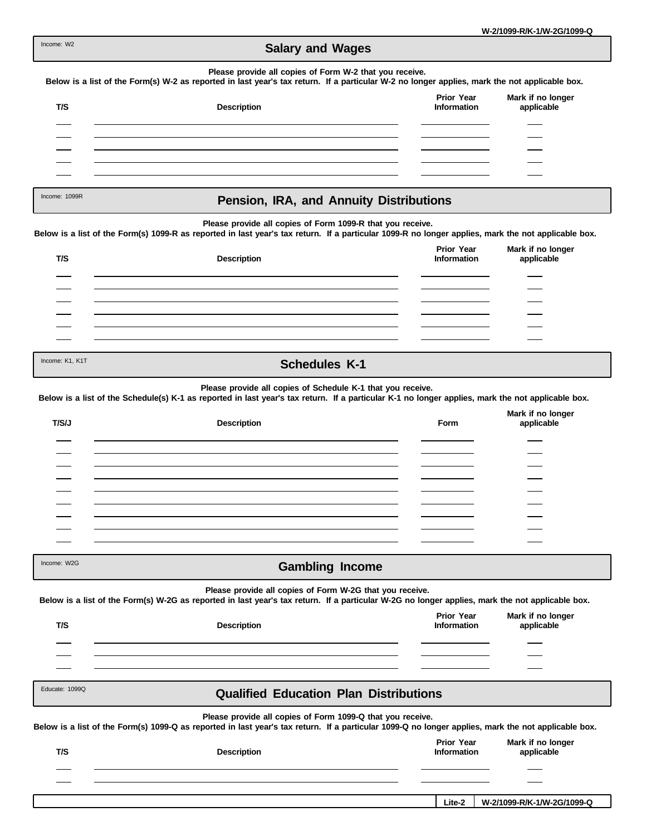| Income: W2 |  |
|------------|--|
|            |  |

# **Salary and Wages**

#### **Please provide all copies of Form W-2 that you receive.**

**Below is a list of the Form(s) W-2 as reported in last year's tax return. If a particular W-2 no longer applies, mark the not applicable box.**

| T/S | <b>Description</b> | <b>Prior Year</b><br>Information | Mark if no longer<br>applicable |
|-----|--------------------|----------------------------------|---------------------------------|
|     |                    |                                  |                                 |
|     |                    |                                  |                                 |
|     |                    |                                  |                                 |
|     |                    |                                  |                                 |

Income: 1099R

## **Pension, IRA, and Annuity Distributions**

#### **Please provide all copies of Form 1099-R that you receive.**

**Below is a list of the Form(s) 1099-R as reported in last year's tax return. If a particular 1099-R no longer applies, mark the not applicable box.**

| T/S             | <b>Description</b> | <b>Prior Year</b><br>Information | Mark if no longer<br>applicable |  |
|-----------------|--------------------|----------------------------------|---------------------------------|--|
|                 |                    |                                  |                                 |  |
|                 |                    |                                  |                                 |  |
|                 |                    |                                  |                                 |  |
|                 |                    |                                  |                                 |  |
|                 |                    |                                  |                                 |  |
| Income: K1, K1T | Cohodulos K 1      |                                  |                                 |  |

### **Schedules K-1**

**Please provide all copies of Schedule K-1 that you receive.**

**Below is a list of the Schedule(s) K-1 as reported in last year's tax return. If a particular K-1 no longer applies, mark the not applicable box.**

| T/S/J | <b>Description</b> | Form | Mark if no longer<br>applicable |
|-------|--------------------|------|---------------------------------|
|       |                    |      |                                 |
|       |                    |      |                                 |
|       |                    |      |                                 |
|       |                    |      |                                 |
|       |                    |      |                                 |
|       |                    |      |                                 |
|       |                    |      |                                 |
|       |                    |      |                                 |
|       |                    |      |                                 |

Income: W2G

## **Gambling Income**

#### **Please provide all copies of Form W-2G that you receive.**

**Below is a list of the Form(s) W-2G as reported in last year's tax return. If a particular W-2G no longer applies, mark the not applicable box.**

| T/S            | <b>Description</b>                                                                                                                                                                                                | <b>Prior Year</b><br><b>Information</b> | Mark if no longer<br>applicable |  |
|----------------|-------------------------------------------------------------------------------------------------------------------------------------------------------------------------------------------------------------------|-----------------------------------------|---------------------------------|--|
|                |                                                                                                                                                                                                                   |                                         |                                 |  |
| Educate: 1099Q | <b>Qualified Education Plan Distributions</b>                                                                                                                                                                     |                                         |                                 |  |
|                | Please provide all copies of Form 1099-Q that you receive.<br>Below is a list of the Form(s) 1099-Q as reported in last year's tax return. If a particular 1099-Q no longer applies, mark the not applicable box. |                                         |                                 |  |
| T/S            | <b>Description</b>                                                                                                                                                                                                | <b>Prior Year</b><br>Information        | Mark if no longer<br>applicable |  |
|                |                                                                                                                                                                                                                   |                                         |                                 |  |

**Lite-2 W-2/1099-R/K-1/W-2G/1099-Q**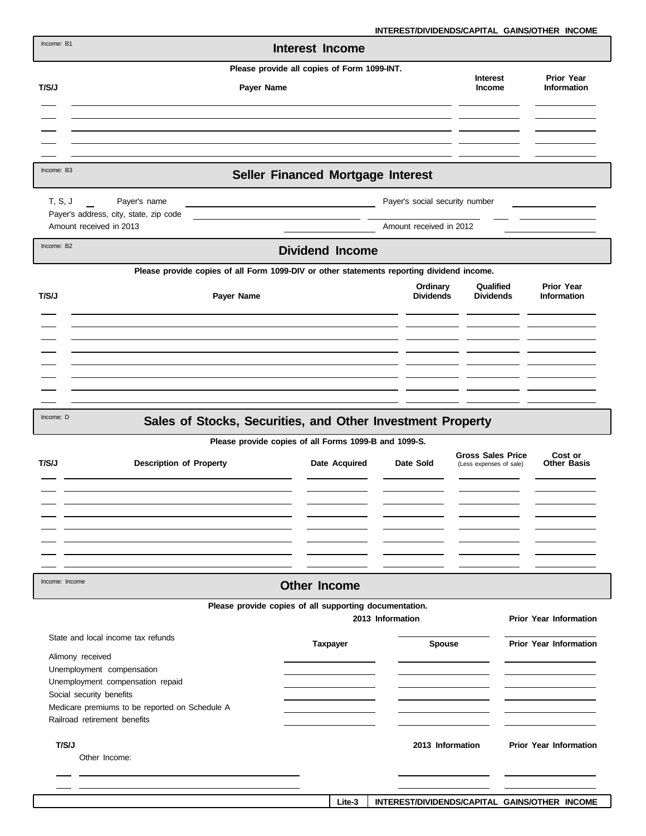**INTEREST/DIVIDENDS/CAPITAL GAINS/OTHER INCOME**

| Income: B1     |                                                                                           | Interest Income                                        | 91/DIVIDLIYDJIVAI IIAL         |                                                     | שמוויטטיוו השווורטומיות                 |
|----------------|-------------------------------------------------------------------------------------------|--------------------------------------------------------|--------------------------------|-----------------------------------------------------|-----------------------------------------|
|                |                                                                                           | Please provide all copies of Form 1099-INT.            |                                |                                                     |                                         |
| T/S/J          | Payer Name                                                                                |                                                        |                                | <b>Interest</b><br>Income                           | <b>Prior Year</b><br><b>Information</b> |
|                |                                                                                           |                                                        |                                |                                                     |                                         |
|                |                                                                                           |                                                        |                                |                                                     |                                         |
|                |                                                                                           |                                                        |                                |                                                     |                                         |
| Income: B3     |                                                                                           | Seller Financed Mortgage Interest                      |                                |                                                     |                                         |
| T, S, J        | Payer's name                                                                              |                                                        | Payer's social security number |                                                     |                                         |
|                | Payer's address, city, state, zip code<br>Amount received in 2013                         |                                                        | Amount received in 2012        |                                                     |                                         |
| Income: B2     |                                                                                           | <b>Dividend Income</b>                                 |                                |                                                     |                                         |
|                | Please provide copies of all Form 1099-DIV or other statements reporting dividend income. |                                                        |                                |                                                     |                                         |
| T/S/J          | Payer Name                                                                                |                                                        | Ordinary<br><b>Dividends</b>   | Qualified<br><b>Dividends</b>                       | <b>Prior Year</b><br><b>Information</b> |
|                |                                                                                           |                                                        |                                |                                                     |                                         |
|                |                                                                                           |                                                        |                                |                                                     |                                         |
|                |                                                                                           |                                                        |                                |                                                     |                                         |
|                |                                                                                           |                                                        |                                |                                                     |                                         |
|                |                                                                                           |                                                        |                                |                                                     |                                         |
|                |                                                                                           |                                                        |                                |                                                     |                                         |
| Income: D      | Sales of Stocks, Securities, and Other Investment Property                                |                                                        |                                |                                                     |                                         |
|                |                                                                                           | Please provide copies of all Forms 1099-B and 1099-S.  |                                |                                                     |                                         |
| T/S/J          | <b>Description of Property</b>                                                            | Date Acquired                                          | Date Sold                      | <b>Gross Sales Price</b><br>(Less expenses of sale) | Cost or<br><b>Other Basis</b>           |
|                |                                                                                           |                                                        |                                |                                                     |                                         |
|                |                                                                                           |                                                        |                                |                                                     |                                         |
|                |                                                                                           |                                                        |                                |                                                     |                                         |
|                |                                                                                           |                                                        |                                |                                                     |                                         |
|                |                                                                                           |                                                        |                                |                                                     |                                         |
| Income: Income |                                                                                           | <b>Other Income</b>                                    |                                |                                                     |                                         |
|                |                                                                                           | Please provide copies of all supporting documentation. |                                |                                                     |                                         |
|                |                                                                                           | 2013 Information                                       |                                |                                                     | <b>Prior Year Information</b>           |
|                | State and local income tax refunds                                                        | <b>Taxpayer</b>                                        | Spouse                         |                                                     | <b>Prior Year Information</b>           |
|                | Alimony received                                                                          |                                                        |                                |                                                     |                                         |
|                | Unemployment compensation                                                                 |                                                        |                                |                                                     |                                         |
|                | Unemployment compensation repaid<br>Social security benefits                              |                                                        |                                |                                                     |                                         |
|                | Medicare premiums to be reported on Schedule A                                            |                                                        |                                |                                                     |                                         |
|                | Railroad retirement benefits                                                              |                                                        |                                |                                                     |                                         |
| T/S/J          |                                                                                           |                                                        | 2013 Information               |                                                     | <b>Prior Year Information</b>           |
|                | Other Income:                                                                             |                                                        |                                |                                                     |                                         |
|                |                                                                                           |                                                        |                                |                                                     |                                         |
|                |                                                                                           |                                                        |                                |                                                     |                                         |

**Lite-3 INTEREST/DIVIDENDS/CAPITAL GAINS/OTHER INCOME**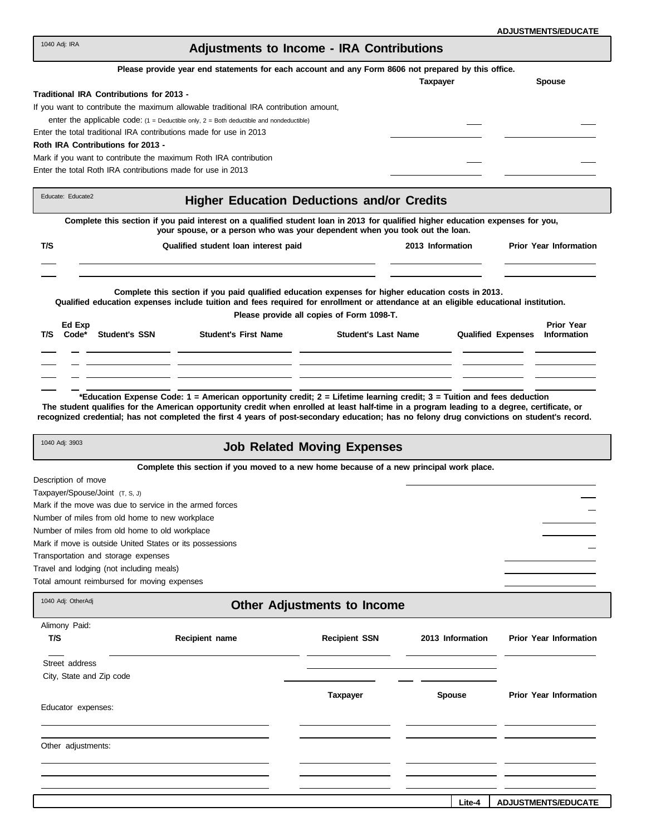| <b>ADJUSTMENTS/EDUCATE</b> |  |
|----------------------------|--|
|----------------------------|--|

| 1040 Adj: IRA                                                                                      | Adjustments to Income - IRA Contributions |               |  |  |  |
|----------------------------------------------------------------------------------------------------|-------------------------------------------|---------------|--|--|--|
| Please provide year end statements for each account and any Form 8606 not prepared by this office. |                                           |               |  |  |  |
|                                                                                                    | <b>Taxpayer</b>                           | <b>Spouse</b> |  |  |  |
| Traditional IRA Contributions for 2013 -                                                           |                                           |               |  |  |  |
| If you want to contribute the maximum allowable traditional IRA contribution amount,               |                                           |               |  |  |  |
| enter the applicable code: $(1 =$ Deductible only, $2 =$ Both deductible and nondeductible)        |                                           |               |  |  |  |
| Enter the total traditional IRA contributions made for use in 2013                                 |                                           |               |  |  |  |

### **Roth IRA Contributions for 2013 -**

Mark if you want to contribute the maximum Roth IRA contribution Enter the total Roth IRA contributions made for use in 2013

|      | Educate: Educate2 |                      | <b>Higher Education Deductions and/or Credits</b>                                                                                                                                                                                         |                                           |                  |                           |                                         |
|------|-------------------|----------------------|-------------------------------------------------------------------------------------------------------------------------------------------------------------------------------------------------------------------------------------------|-------------------------------------------|------------------|---------------------------|-----------------------------------------|
|      |                   |                      | Complete this section if you paid interest on a qualified student loan in 2013 for qualified higher education expenses for you,<br>your spouse, or a person who was your dependent when you took out the loan.                            |                                           |                  |                           |                                         |
| T/S  |                   |                      | Qualified student loan interest paid                                                                                                                                                                                                      |                                           | 2013 Information |                           | <b>Prior Year Information</b>           |
|      |                   |                      | Complete this section if you paid qualified education expenses for higher education costs in 2013.<br>Qualified education expenses include tuition and fees required for enrollment or attendance at an eligible educational institution. | Please provide all copies of Form 1098-T. |                  |                           |                                         |
| T/S. | Ed Exp<br>Code*   | <b>Student's SSN</b> | <b>Student's First Name</b>                                                                                                                                                                                                               | <b>Student's Last Name</b>                |                  | <b>Qualified Expenses</b> | <b>Prior Year</b><br><b>Information</b> |
|      |                   |                      |                                                                                                                                                                                                                                           |                                           |                  |                           |                                         |
|      |                   |                      |                                                                                                                                                                                                                                           |                                           |                  |                           |                                         |

**\*Education Expense Code: 1 = American opportunity credit; 2 = Lifetime learning credit; 3 = Tuition and fees deduction The student qualifies for the American opportunity credit when enrolled at least half-time in a program leading to a degree, certificate, or recognized credential; has not completed the first 4 years of post-secondary education; has no felony drug convictions on student's record.**

|  | Job Related Moving Expenses |
|--|-----------------------------|
|  |                             |

**Complete this section if you moved to a new home because of a new principal work place.**

Description of move

1040 Adj: OtherAdj

1040 Adj: 3903

Taxpayer/Spouse/Joint (T, S, J) Mark if the move was due to service in the armed forces Number of miles from old home to new workplace Number of miles from old home to old workplace Mark if move is outside United States or its possessions Transportation and storage expenses Travel and lodging (not including meals)

Total amount reimbursed for moving expenses

|  | <b>Other Adjustments to Income</b> |  |  |
|--|------------------------------------|--|--|
|--|------------------------------------|--|--|

| Alimony Paid:<br>T/S     | Recipient name | <b>Recipient SSN</b> | 2013 Information | <b>Prior Year Information</b> |
|--------------------------|----------------|----------------------|------------------|-------------------------------|
| Street address           |                |                      |                  |                               |
| City, State and Zip code |                |                      |                  |                               |
|                          |                | <b>Taxpayer</b>      | <b>Spouse</b>    | <b>Prior Year Information</b> |
| Educator expenses:       |                |                      |                  |                               |
|                          |                |                      |                  |                               |
| Other adjustments:       |                |                      |                  |                               |
|                          |                |                      |                  |                               |
|                          |                |                      |                  |                               |
|                          |                |                      |                  |                               |